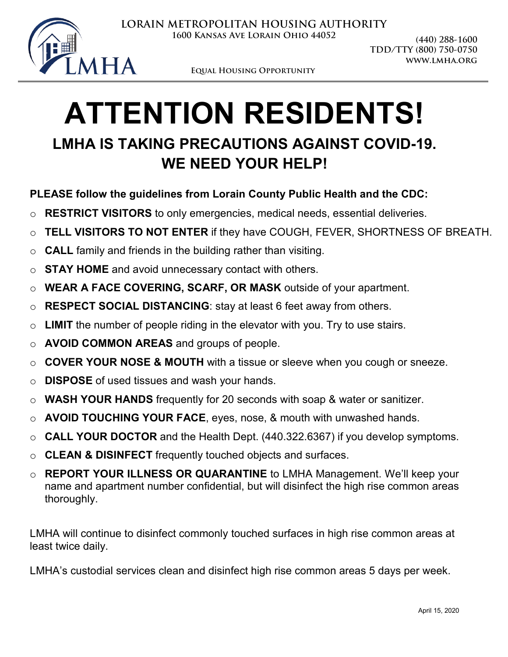

**Equal Housing Opportunity**

## **ATTENTION RESIDENTS! LMHA IS TAKING PRECAUTIONS AGAINST COVID-19. WE NEED YOUR HELP!**

## **PLEASE follow the guidelines from Lorain County Public Health and the CDC:**

- o **RESTRICT VISITORS** to only emergencies, medical needs, essential deliveries.
- o **TELL VISITORS TO NOT ENTER** if they have COUGH, FEVER, SHORTNESS OF BREATH.
- o **CALL** family and friends in the building rather than visiting.
- o **STAY HOME** and avoid unnecessary contact with others.
- o **WEAR A FACE COVERING, SCARF, OR MASK** outside of your apartment.
- o **RESPECT SOCIAL DISTANCING**: stay at least 6 feet away from others.
- o **LIMIT** the number of people riding in the elevator with you. Try to use stairs.
- o **AVOID COMMON AREAS** and groups of people.
- o **COVER YOUR NOSE & MOUTH** with a tissue or sleeve when you cough or sneeze.
- o **DISPOSE** of used tissues and wash your hands.
- o **WASH YOUR HANDS** frequently for 20 seconds with soap & water or sanitizer.
- o **AVOID TOUCHING YOUR FACE**, eyes, nose, & mouth with unwashed hands.
- o **CALL YOUR DOCTOR** and the Health Dept. (440.322.6367) if you develop symptoms.
- o **CLEAN & DISINFECT** frequently touched objects and surfaces.
- o **REPORT YOUR ILLNESS OR QUARANTINE** to LMHA Management. We'll keep your name and apartment number confidential, but will disinfect the high rise common areas thoroughly.

LMHA will continue to disinfect commonly touched surfaces in high rise common areas at least twice daily.

LMHA's custodial services clean and disinfect high rise common areas 5 days per week.